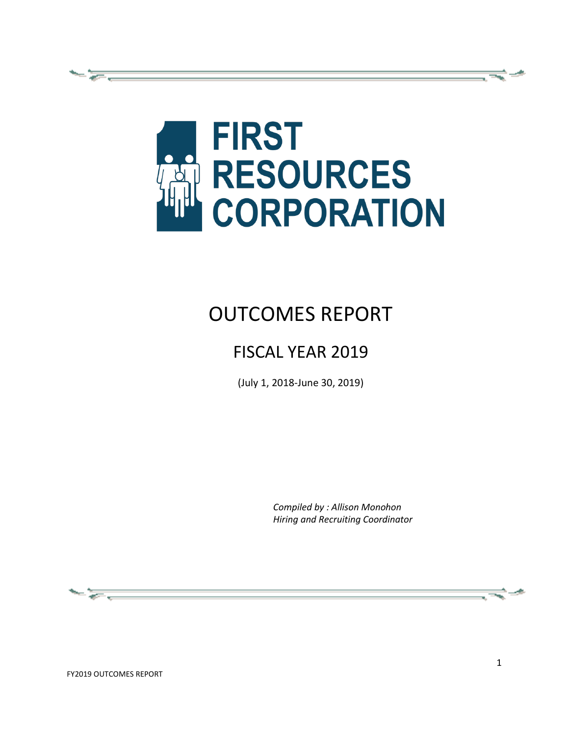

# OUTCOMES REPORT

# FISCAL YEAR 2019

(July 1, 2018-June 30, 2019)

*Compiled by : Allison Monohon Hiring and Recruiting Coordinator*

æ.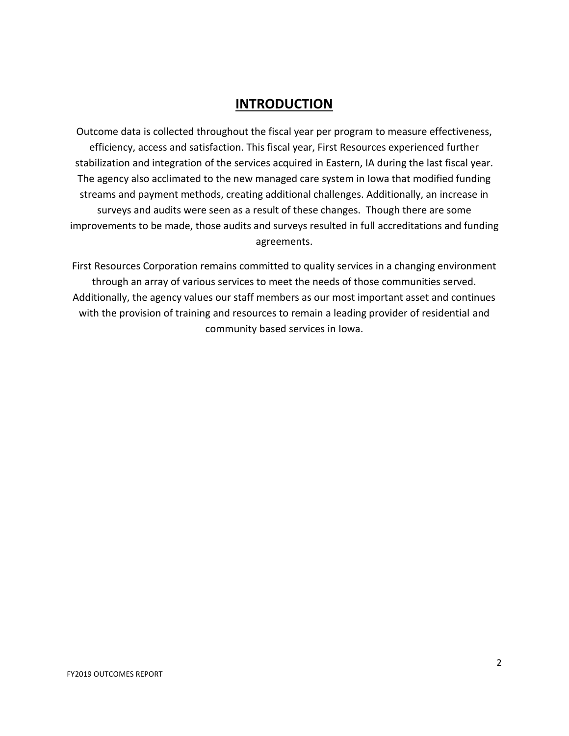## **INTRODUCTION**

Outcome data is collected throughout the fiscal year per program to measure effectiveness, efficiency, access and satisfaction. This fiscal year, First Resources experienced further stabilization and integration of the services acquired in Eastern, IA during the last fiscal year. The agency also acclimated to the new managed care system in Iowa that modified funding streams and payment methods, creating additional challenges. Additionally, an increase in surveys and audits were seen as a result of these changes. Though there are some improvements to be made, those audits and surveys resulted in full accreditations and funding agreements.

First Resources Corporation remains committed to quality services in a changing environment through an array of various services to meet the needs of those communities served. Additionally, the agency values our staff members as our most important asset and continues with the provision of training and resources to remain a leading provider of residential and community based services in Iowa.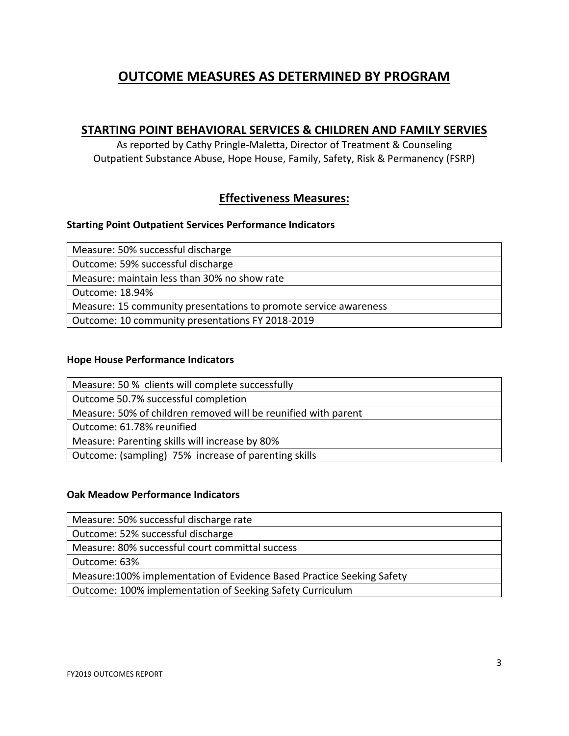# **OUTCOME MEASURES AS DETERMINED BY PROGRAM**

#### **STARTING POINT BEHAVIORAL SERVICES & CHILDREN AND FAMILY SERVIES**

As reported by Cathy Pringle-Maletta, Director of Treatment & Counseling Outpatient Substance Abuse, Hope House, Family, Safety, Risk & Permanency (FSRP)

## **Effectiveness Measures:**

#### **Starting Point Outpatient Services Performance Indicators**

Measure: 50% successful discharge

Outcome: 59% successful discharge

Measure: maintain less than 30% no show rate

Outcome: 18.94%

Measure: 15 community presentations to promote service awareness

Outcome: 10 community presentations FY 2018-2019

#### **Hope House Performance Indicators**

Measure: 50 % clients will complete successfully

Outcome 50.7% successful completion

Measure: 50% of children removed will be reunified with parent

Outcome: 61.78% reunified

Measure: Parenting skills will increase by 80%

Outcome: (sampling) 75% increase of parenting skills

#### **Oak Meadow Performance Indicators**

Measure: 50% successful discharge rate

Outcome: 52% successful discharge

Measure: 80% successful court committal success

Outcome: 63%

Measure:100% implementation of Evidence Based Practice Seeking Safety

Outcome: 100% implementation of Seeking Safety Curriculum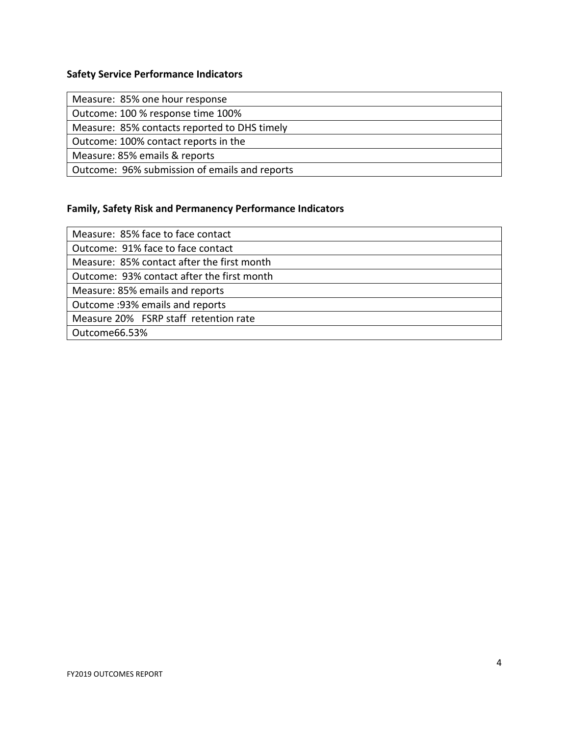#### **Safety Service Performance Indicators**

Measure: 85% one hour response

Outcome: 100 % response time 100%

Measure: 85% contacts reported to DHS timely

Outcome: 100% contact reports in the

Measure: 85% emails & reports

Outcome: 96% submission of emails and reports

#### **Family, Safety Risk and Permanency Performance Indicators**

Measure: 85% face to face contact Outcome: 91% face to face contact

Measure: 85% contact after the first month

Outcome: 93% contact after the first month

Measure: 85% emails and reports

Outcome :93% emails and reports

Measure 20% FSRP staff retention rate

Outcome66.53%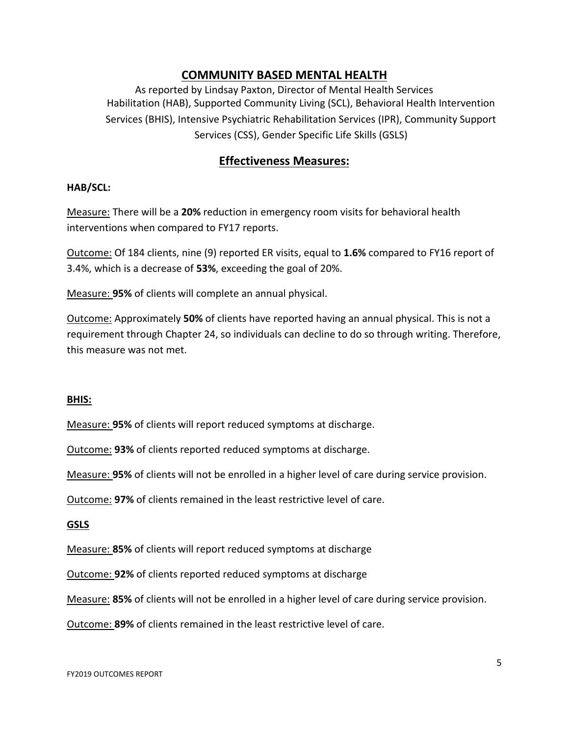## **COMMUNITY BASED MENTAL HEALTH**

As reported by Lindsay Paxton, Director of Mental Health Services Habilitation (HAB), Supported Community Living (SCL), Behavioral Health Intervention Services (BHIS), Intensive Psychiatric Rehabilitation Services (IPR), Community Support Services (CSS), Gender Specific Life Skills (GSLS)

## **Effectiveness Measures:**

#### **HAB/SCL:**

Measure: There will be a **20%** reduction in emergency room visits for behavioral health interventions when compared to FY17 reports.

Outcome: Of 184 clients, nine (9) reported ER visits, equal to **1.6%** compared to FY16 report of 3.4%, which is a decrease of **53%**, exceeding the goal of 20%.

Measure: **95%** of clients will complete an annual physical.

Outcome: Approximately **50%** of clients have reported having an annual physical. This is not a requirement through Chapter 24, so individuals can decline to do so through writing. Therefore, this measure was not met.

#### **BHIS:**

Measure: **95%** of clients will report reduced symptoms at discharge.

Outcome: **93%** of clients reported reduced symptoms at discharge.

Measure: **95%** of clients will not be enrolled in a higher level of care during service provision.

Outcome: **97%** of clients remained in the least restrictive level of care.

#### **GSLS**

Measure: **85%** of clients will report reduced symptoms at discharge

Outcome: **92%** of clients reported reduced symptoms at discharge

Measure: **85%** of clients will not be enrolled in a higher level of care during service provision.

Outcome: **89%** of clients remained in the least restrictive level of care.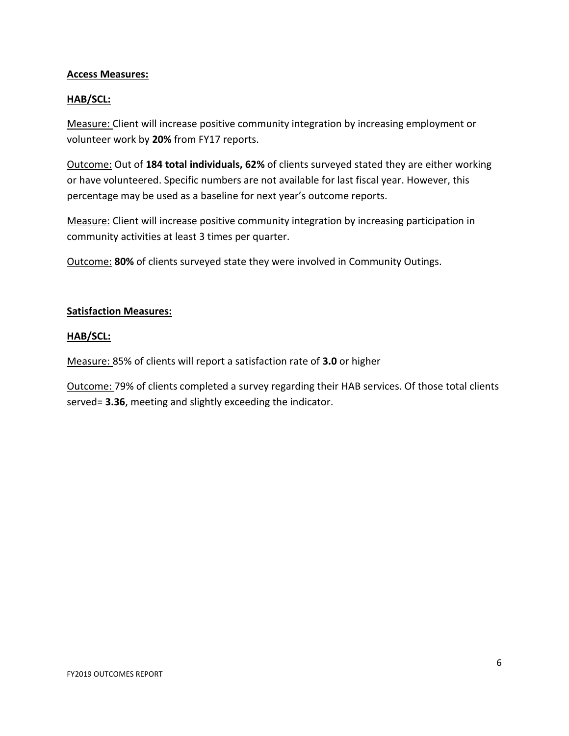#### **Access Measures:**

#### **HAB/SCL:**

Measure: Client will increase positive community integration by increasing employment or volunteer work by **20%** from FY17 reports.

Outcome: Out of **184 total individuals, 62%** of clients surveyed stated they are either working or have volunteered. Specific numbers are not available for last fiscal year. However, this percentage may be used as a baseline for next year's outcome reports.

Measure: Client will increase positive community integration by increasing participation in community activities at least 3 times per quarter.

Outcome: **80%** of clients surveyed state they were involved in Community Outings.

#### **Satisfaction Measures:**

#### **HAB/SCL:**

Measure: 85% of clients will report a satisfaction rate of **3.0** or higher

Outcome: 79% of clients completed a survey regarding their HAB services. Of those total clients served= **3.36**, meeting and slightly exceeding the indicator.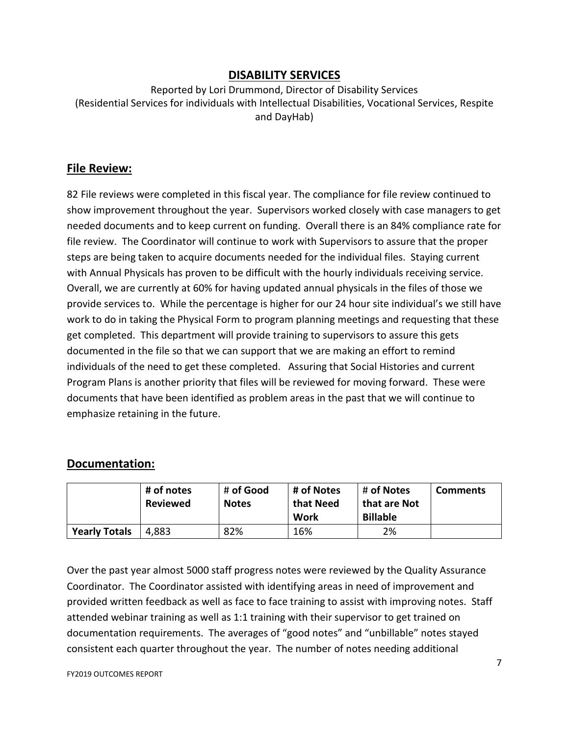## **DISABILITY SERVICES**

Reported by Lori Drummond, Director of Disability Services (Residential Services for individuals with Intellectual Disabilities, Vocational Services, Respite and DayHab)

#### **File Review:**

82 File reviews were completed in this fiscal year. The compliance for file review continued to show improvement throughout the year. Supervisors worked closely with case managers to get needed documents and to keep current on funding. Overall there is an 84% compliance rate for file review. The Coordinator will continue to work with Supervisors to assure that the proper steps are being taken to acquire documents needed for the individual files. Staying current with Annual Physicals has proven to be difficult with the hourly individuals receiving service. Overall, we are currently at 60% for having updated annual physicals in the files of those we provide services to. While the percentage is higher for our 24 hour site individual's we still have work to do in taking the Physical Form to program planning meetings and requesting that these get completed. This department will provide training to supervisors to assure this gets documented in the file so that we can support that we are making an effort to remind individuals of the need to get these completed. Assuring that Social Histories and current Program Plans is another priority that files will be reviewed for moving forward. These were documents that have been identified as problem areas in the past that we will continue to emphasize retaining in the future.

## **Documentation:**

|                      | # of notes<br><b>Reviewed</b> | # of Good<br><b>Notes</b> | # of Notes<br>that Need<br>Work | # of Notes<br>that are Not<br><b>Billable</b> | <b>Comments</b> |
|----------------------|-------------------------------|---------------------------|---------------------------------|-----------------------------------------------|-----------------|
| <b>Yearly Totals</b> | +,883<br>Δ                    | 82%                       | 16%                             | 2%                                            |                 |

Over the past year almost 5000 staff progress notes were reviewed by the Quality Assurance Coordinator. The Coordinator assisted with identifying areas in need of improvement and provided written feedback as well as face to face training to assist with improving notes. Staff attended webinar training as well as 1:1 training with their supervisor to get trained on documentation requirements. The averages of "good notes" and "unbillable" notes stayed consistent each quarter throughout the year. The number of notes needing additional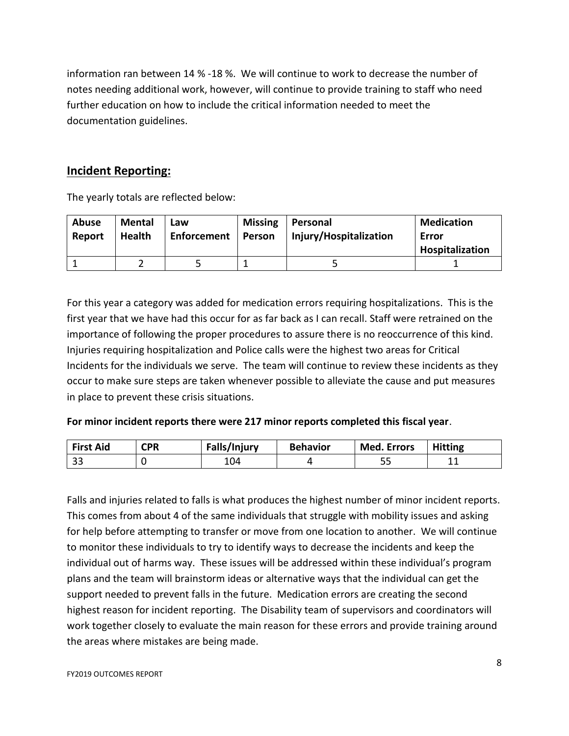information ran between 14 % -18 %. We will continue to work to decrease the number of notes needing additional work, however, will continue to provide training to staff who need further education on how to include the critical information needed to meet the documentation guidelines.

## **Incident Reporting:**

The yearly totals are reflected below:

| <b>Abuse</b><br>Report | <b>Mental</b><br><b>Health</b> | Law<br>Enforcement | <b>Missing</b><br>Person | Personal<br>Injury/Hospitalization | <b>Medication</b><br>Error |
|------------------------|--------------------------------|--------------------|--------------------------|------------------------------------|----------------------------|
|                        |                                |                    |                          |                                    | Hospitalization            |
|                        |                                |                    |                          |                                    |                            |

For this year a category was added for medication errors requiring hospitalizations. This is the first year that we have had this occur for as far back as I can recall. Staff were retrained on the importance of following the proper procedures to assure there is no reoccurrence of this kind. Injuries requiring hospitalization and Police calls were the highest two areas for Critical Incidents for the individuals we serve. The team will continue to review these incidents as they occur to make sure steps are taken whenever possible to alleviate the cause and put measures in place to prevent these crisis situations.

#### **For minor incident reports there were 217 minor reports completed this fiscal year**.

| <b>First Aid</b> | <b>CPR</b> | Falls/Injury | <b>Behavior</b> | <b>Med. Errors</b> | <b>Hitting</b> |
|------------------|------------|--------------|-----------------|--------------------|----------------|
| $\sim$<br>ر ر    |            | 104          |                 | - 1<br>--          | .              |

Falls and injuries related to falls is what produces the highest number of minor incident reports. This comes from about 4 of the same individuals that struggle with mobility issues and asking for help before attempting to transfer or move from one location to another. We will continue to monitor these individuals to try to identify ways to decrease the incidents and keep the individual out of harms way. These issues will be addressed within these individual's program plans and the team will brainstorm ideas or alternative ways that the individual can get the support needed to prevent falls in the future. Medication errors are creating the second highest reason for incident reporting. The Disability team of supervisors and coordinators will work together closely to evaluate the main reason for these errors and provide training around the areas where mistakes are being made.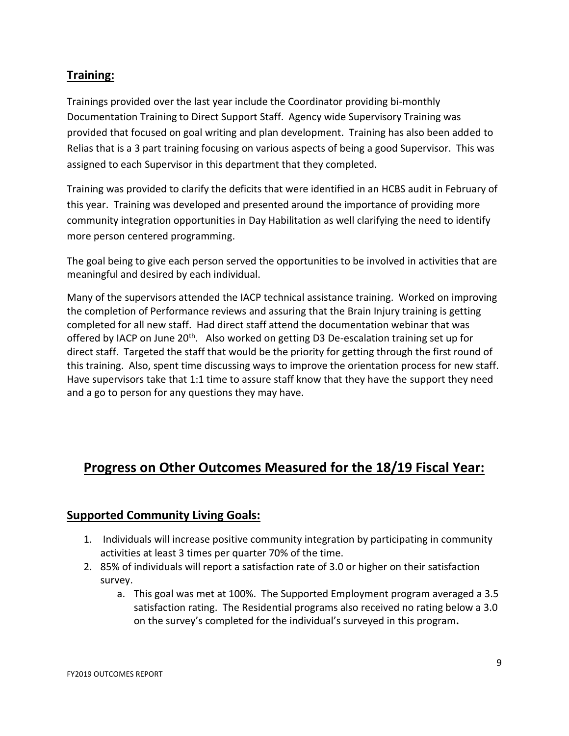## **Training:**

Trainings provided over the last year include the Coordinator providing bi-monthly Documentation Training to Direct Support Staff. Agency wide Supervisory Training was provided that focused on goal writing and plan development. Training has also been added to Relias that is a 3 part training focusing on various aspects of being a good Supervisor. This was assigned to each Supervisor in this department that they completed.

Training was provided to clarify the deficits that were identified in an HCBS audit in February of this year. Training was developed and presented around the importance of providing more community integration opportunities in Day Habilitation as well clarifying the need to identify more person centered programming.

The goal being to give each person served the opportunities to be involved in activities that are meaningful and desired by each individual.

Many of the supervisors attended the IACP technical assistance training. Worked on improving the completion of Performance reviews and assuring that the Brain Injury training is getting completed for all new staff. Had direct staff attend the documentation webinar that was offered by IACP on June 20<sup>th</sup>. Also worked on getting D3 De-escalation training set up for direct staff. Targeted the staff that would be the priority for getting through the first round of this training. Also, spent time discussing ways to improve the orientation process for new staff. Have supervisors take that 1:1 time to assure staff know that they have the support they need and a go to person for any questions they may have.

# **Progress on Other Outcomes Measured for the 18/19 Fiscal Year:**

## **Supported Community Living Goals:**

- 1. Individuals will increase positive community integration by participating in community activities at least 3 times per quarter 70% of the time.
- 2. 85% of individuals will report a satisfaction rate of 3.0 or higher on their satisfaction survey.
	- a. This goal was met at 100%. The Supported Employment program averaged a 3.5 satisfaction rating. The Residential programs also received no rating below a 3.0 on the survey's completed for the individual's surveyed in this program**.**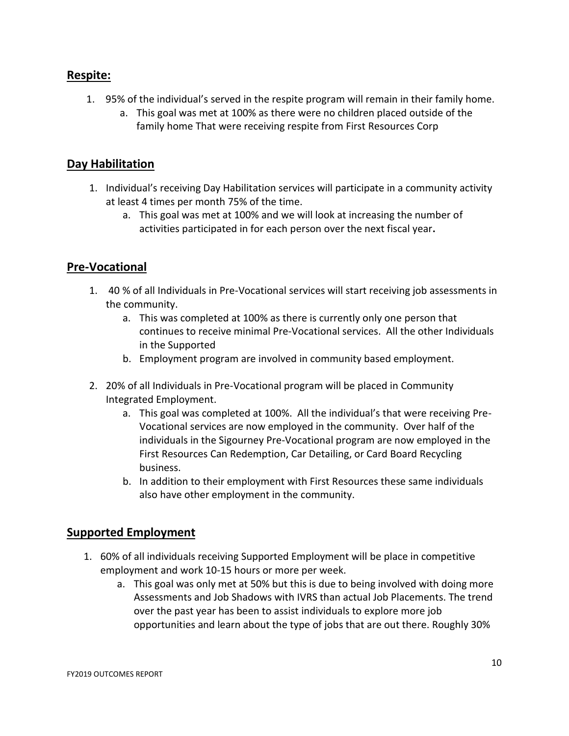## **Respite:**

- 1. 95% of the individual's served in the respite program will remain in their family home.
	- a. This goal was met at 100% as there were no children placed outside of the family home That were receiving respite from First Resources Corp

## **Day Habilitation**

- 1. Individual's receiving Day Habilitation services will participate in a community activity at least 4 times per month 75% of the time.
	- a. This goal was met at 100% and we will look at increasing the number of activities participated in for each person over the next fiscal year**.**

## **Pre-Vocational**

- 1. 40 % of all Individuals in Pre-Vocational services will start receiving job assessments in the community.
	- a. This was completed at 100% as there is currently only one person that continues to receive minimal Pre-Vocational services. All the other Individuals in the Supported
	- b. Employment program are involved in community based employment.
- 2. 20% of all Individuals in Pre-Vocational program will be placed in Community Integrated Employment.
	- a. This goal was completed at 100%. All the individual's that were receiving Pre-Vocational services are now employed in the community. Over half of the individuals in the Sigourney Pre-Vocational program are now employed in the First Resources Can Redemption, Car Detailing, or Card Board Recycling business.
	- b. In addition to their employment with First Resources these same individuals also have other employment in the community.

## **Supported Employment**

- 1. 60% of all individuals receiving Supported Employment will be place in competitive employment and work 10-15 hours or more per week.
	- a. This goal was only met at 50% but this is due to being involved with doing more Assessments and Job Shadows with IVRS than actual Job Placements. The trend over the past year has been to assist individuals to explore more job opportunities and learn about the type of jobs that are out there. Roughly 30%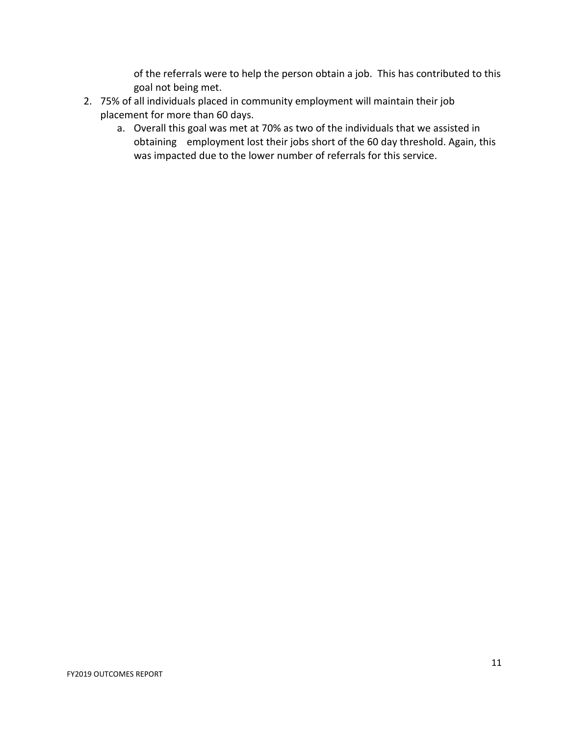of the referrals were to help the person obtain a job. This has contributed to this goal not being met.

- 2. 75% of all individuals placed in community employment will maintain their job placement for more than 60 days.
	- a. Overall this goal was met at 70% as two of the individuals that we assisted in obtaining employment lost their jobs short of the 60 day threshold. Again, this was impacted due to the lower number of referrals for this service.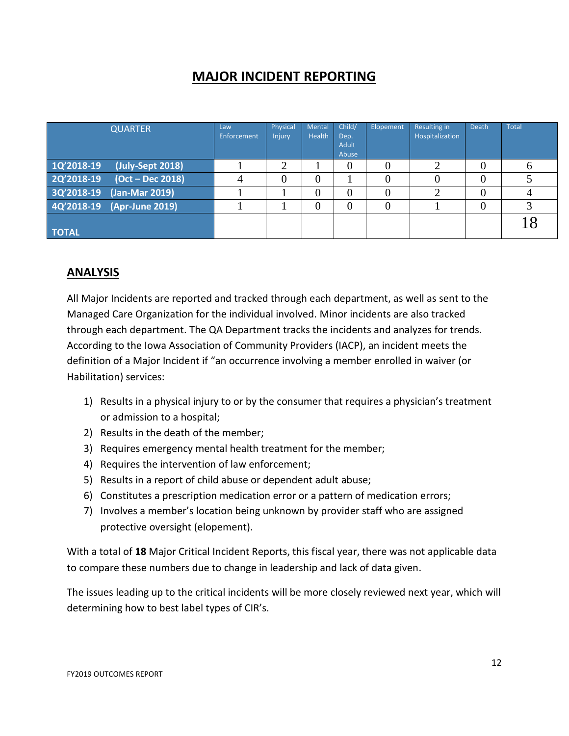# **MAJOR INCIDENT REPORTING**

| <b>QUARTER</b>                 | Law<br><b>Enforcement</b> | Physical<br>Injury | Mental<br>Health | Child/<br>Dep.<br>Adult<br>Abuse | Elopement | <b>Resulting in</b><br>Hospitalization | Death | <b>Total</b> |
|--------------------------------|---------------------------|--------------------|------------------|----------------------------------|-----------|----------------------------------------|-------|--------------|
| (July-Sept 2018)<br>1Q'2018-19 |                           | ◠                  |                  | $\theta$                         |           | ⌒                                      |       | <sub>0</sub> |
| 2Q'2018-19<br>(Oct – Dec 2018) |                           | $\theta$           | 0                |                                  |           |                                        |       |              |
| 3Q'2018-19<br>(Jan-Mar 2019)   |                           |                    | 0                | $\theta$                         |           |                                        |       |              |
| 4Q'2018-19<br>(Apr-June 2019)  |                           |                    | $\left( \right)$ | $\overline{0}$                   |           |                                        |       |              |
| <b>TOTAL</b>                   |                           |                    |                  |                                  |           |                                        |       |              |

## **ANALYSIS**

All Major Incidents are reported and tracked through each department, as well as sent to the Managed Care Organization for the individual involved. Minor incidents are also tracked through each department. The QA Department tracks the incidents and analyzes for trends. According to the Iowa Association of Community Providers (IACP), an incident meets the definition of a Major Incident if "an occurrence involving a member enrolled in waiver (or Habilitation) services:

- 1) Results in a physical injury to or by the consumer that requires a physician's treatment or admission to a hospital;
- 2) Results in the death of the member;
- 3) Requires emergency mental health treatment for the member;
- 4) Requires the intervention of law enforcement;
- 5) Results in a report of child abuse or dependent adult abuse;
- 6) Constitutes a prescription medication error or a pattern of medication errors;
- 7) Involves a member's location being unknown by provider staff who are assigned protective oversight (elopement).

With a total of **18** Major Critical Incident Reports, this fiscal year, there was not applicable data to compare these numbers due to change in leadership and lack of data given.

The issues leading up to the critical incidents will be more closely reviewed next year, which will determining how to best label types of CIR's.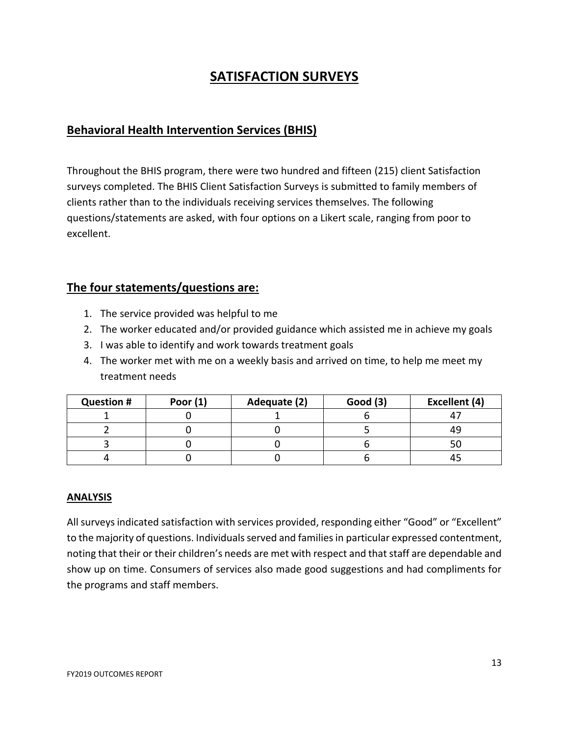# **SATISFACTION SURVEYS**

## **Behavioral Health Intervention Services (BHIS)**

Throughout the BHIS program, there were two hundred and fifteen (215) client Satisfaction surveys completed. The BHIS Client Satisfaction Surveys is submitted to family members of clients rather than to the individuals receiving services themselves. The following questions/statements are asked, with four options on a Likert scale, ranging from poor to excellent.

## **The four statements/questions are:**

- 1. The service provided was helpful to me
- 2. The worker educated and/or provided guidance which assisted me in achieve my goals
- 3. I was able to identify and work towards treatment goals
- 4. The worker met with me on a weekly basis and arrived on time, to help me meet my treatment needs

| <b>Question #</b> | Poor $(1)$ | Adequate (2) | <b>Good (3)</b> | Excellent (4) |
|-------------------|------------|--------------|-----------------|---------------|
|                   |            |              |                 |               |
|                   |            |              |                 |               |
|                   |            |              |                 |               |
|                   |            |              |                 |               |

#### **ANALYSIS**

All surveys indicated satisfaction with services provided, responding either "Good" or "Excellent" to the majority of questions. Individuals served and families in particular expressed contentment, noting that their or their children's needs are met with respect and that staff are dependable and show up on time. Consumers of services also made good suggestions and had compliments for the programs and staff members.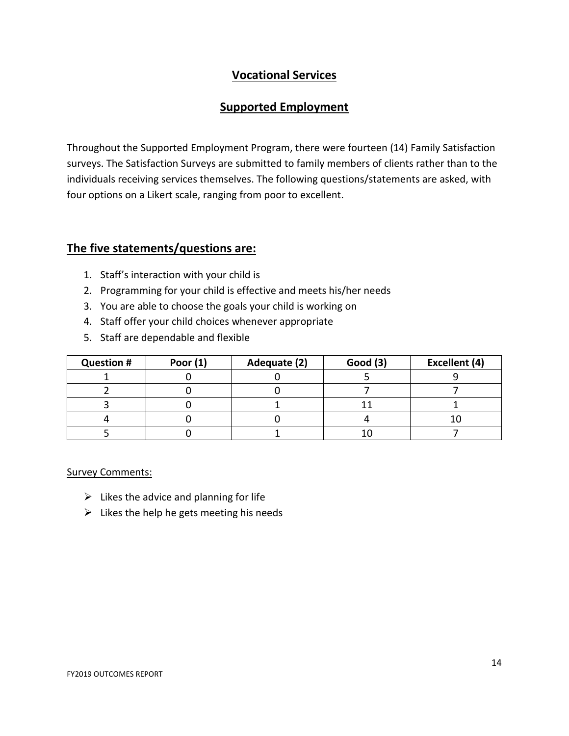## **Vocational Services**

## **Supported Employment**

Throughout the Supported Employment Program, there were fourteen (14) Family Satisfaction surveys. The Satisfaction Surveys are submitted to family members of clients rather than to the individuals receiving services themselves. The following questions/statements are asked, with four options on a Likert scale, ranging from poor to excellent.

#### **The five statements/questions are:**

- 1. Staff's interaction with your child is
- 2. Programming for your child is effective and meets his/her needs
- 3. You are able to choose the goals your child is working on
- 4. Staff offer your child choices whenever appropriate
- 5. Staff are dependable and flexible

| <b>Question #</b> | Poor $(1)$ | Adequate (2) | <b>Good (3)</b> | Excellent (4) |
|-------------------|------------|--------------|-----------------|---------------|
|                   |            |              |                 |               |
|                   |            |              |                 |               |
|                   |            |              |                 |               |
|                   |            |              |                 |               |
|                   |            |              |                 |               |

#### Survey Comments:

- $\triangleright$  Likes the advice and planning for life
- $\triangleright$  Likes the help he gets meeting his needs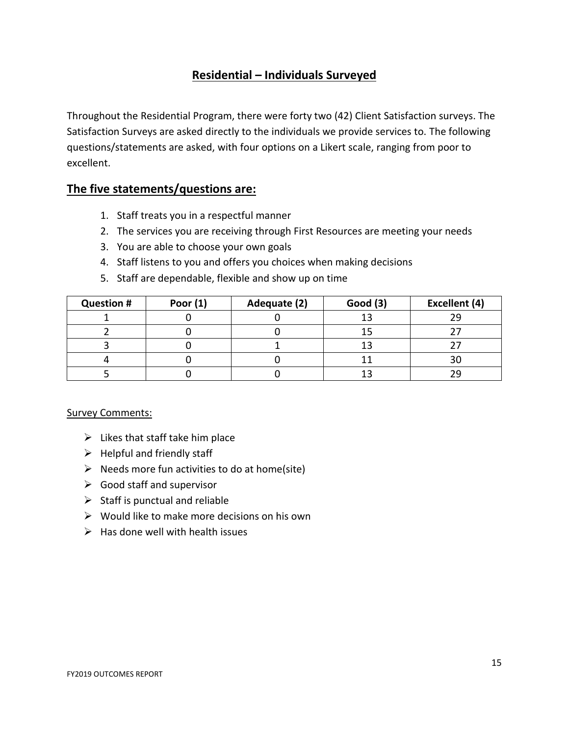## **Residential – Individuals Surveyed**

Throughout the Residential Program, there were forty two (42) Client Satisfaction surveys. The Satisfaction Surveys are asked directly to the individuals we provide services to. The following questions/statements are asked, with four options on a Likert scale, ranging from poor to excellent.

#### **The five statements/questions are:**

- 1. Staff treats you in a respectful manner
- 2. The services you are receiving through First Resources are meeting your needs
- 3. You are able to choose your own goals
- 4. Staff listens to you and offers you choices when making decisions
- 5. Staff are dependable, flexible and show up on time

| <b>Question #</b> | Poor $(1)$ | Adequate (2) | <b>Good (3)</b> | Excellent (4) |
|-------------------|------------|--------------|-----------------|---------------|
|                   |            |              |                 | 29            |
|                   |            |              |                 |               |
|                   |            |              |                 |               |
|                   |            |              |                 | 30            |
|                   |            |              |                 |               |

#### Survey Comments:

- $\triangleright$  Likes that staff take him place
- $\triangleright$  Helpful and friendly staff
- $\triangleright$  Needs more fun activities to do at home(site)
- $\triangleright$  Good staff and supervisor
- $\triangleright$  Staff is punctual and reliable
- $\triangleright$  Would like to make more decisions on his own
- $\triangleright$  Has done well with health issues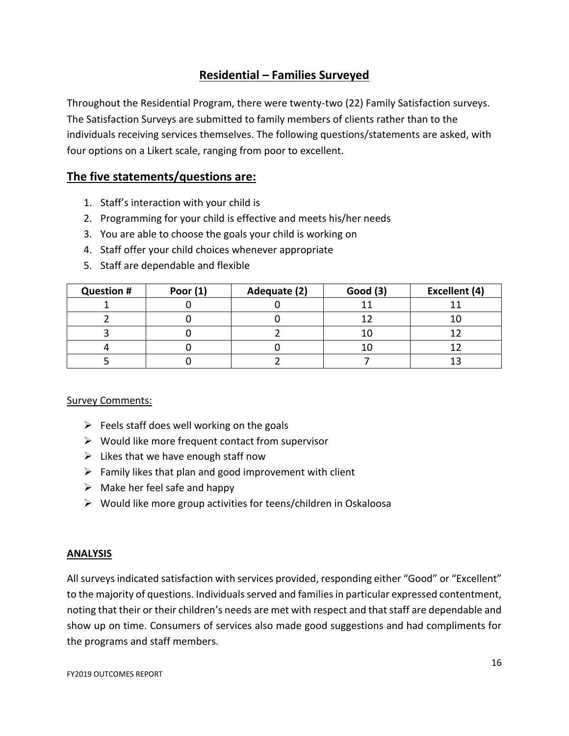## **Residential – Families Surveyed**

Throughout the Residential Program, there were twenty-two (22) Family Satisfaction surveys. The Satisfaction Surveys are submitted to family members of clients rather than to the individuals receiving services themselves. The following questions/statements are asked, with four options on a Likert scale, ranging from poor to excellent.

## **The five statements/questions are:**

- 1. Staff's interaction with your child is
- 2. Programming for your child is effective and meets his/her needs
- 3. You are able to choose the goals your child is working on
- 4. Staff offer your child choices whenever appropriate
- 5. Staff are dependable and flexible

| <b>Question #</b> | Poor $(1)$ | Adequate (2) | Good(3) | Excellent (4) |
|-------------------|------------|--------------|---------|---------------|
|                   |            |              |         |               |
|                   |            |              |         |               |
|                   |            |              |         |               |
|                   |            |              |         |               |
|                   |            |              |         |               |

#### Survey Comments:

- $\triangleright$  Feels staff does well working on the goals
- $\triangleright$  Would like more frequent contact from supervisor
- $\triangleright$  Likes that we have enough staff now
- $\triangleright$  Family likes that plan and good improvement with client
- $\triangleright$  Make her feel safe and happy
- $\triangleright$  Would like more group activities for teens/children in Oskaloosa

#### **ANALYSIS**

All surveys indicated satisfaction with services provided, responding either "Good" or "Excellent" to the majority of questions. Individuals served and families in particular expressed contentment, noting that their or their children's needs are met with respect and that staff are dependable and show up on time. Consumers of services also made good suggestions and had compliments for the programs and staff members.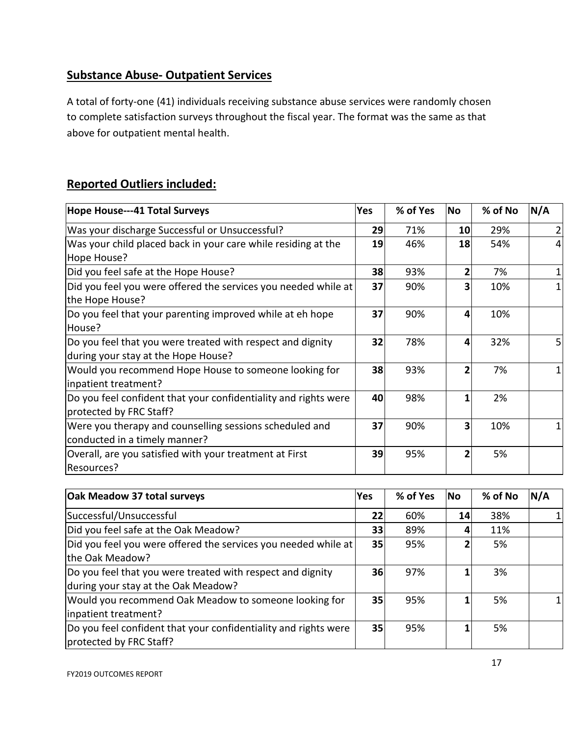## **Substance Abuse- Outpatient Services**

A total of forty-one (41) individuals receiving substance abuse services were randomly chosen to complete satisfaction surveys throughout the fiscal year. The format was the same as that above for outpatient mental health.

## **Reported Outliers included:**

| Hope House---41 Total Surveys                                                                     | <b>Yes</b> | % of Yes | <b>No</b>      | % of No | N/A            |
|---------------------------------------------------------------------------------------------------|------------|----------|----------------|---------|----------------|
| Was your discharge Successful or Unsuccessful?                                                    | 29         | 71%      | 10             | 29%     | $\overline{2}$ |
| Was your child placed back in your care while residing at the<br>Hope House?                      | 19         | 46%      | 18             | 54%     | $\overline{4}$ |
| Did you feel safe at the Hope House?                                                              | 38         | 93%      | 2              | 7%      | $\mathbf{1}$   |
| Did you feel you were offered the services you needed while at $ $<br>the Hope House?             | 37         | 90%      | 3              | 10%     | $\mathbf{1}$   |
| Do you feel that your parenting improved while at eh hope<br>House?                               | 37         | 90%      | 4              | 10%     |                |
| Do you feel that you were treated with respect and dignity<br>during your stay at the Hope House? | 32         | 78%      | 4              | 32%     | 5              |
| Would you recommend Hope House to someone looking for<br>inpatient treatment?                     | 38         | 93%      | $\overline{2}$ | 7%      | $\mathbf{1}$   |
| Do you feel confident that your confidentiality and rights were<br>protected by FRC Staff?        | 40         | 98%      | 1              | 2%      |                |
| Were you therapy and counselling sessions scheduled and<br>conducted in a timely manner?          | 37         | 90%      | 3              | 10%     | 1              |
| Overall, are you satisfied with your treatment at First<br>Resources?                             | 39         | 95%      | 2              | 5%      |                |

| <b>Oak Meadow 37 total surveys</b>                                                                | <b>Yes</b> | % of Yes | <b>No</b> | % of No | N/A |
|---------------------------------------------------------------------------------------------------|------------|----------|-----------|---------|-----|
| Successful/Unsuccessful                                                                           | 22         | 60%      | 14        | 38%     |     |
| Did you feel safe at the Oak Meadow?                                                              | 33         | 89%      |           | 11%     |     |
| Did you feel you were offered the services you needed while at<br>the Oak Meadow?                 | <b>35</b>  | 95%      |           | 5%      |     |
| Do you feel that you were treated with respect and dignity<br>during your stay at the Oak Meadow? | 36         | 97%      |           | 3%      |     |
| Would you recommend Oak Meadow to someone looking for<br>inpatient treatment?                     | <b>35</b>  | 95%      |           | 5%      |     |
| Do you feel confident that your confidentiality and rights were<br>protected by FRC Staff?        | 35         | 95%      |           | 5%      |     |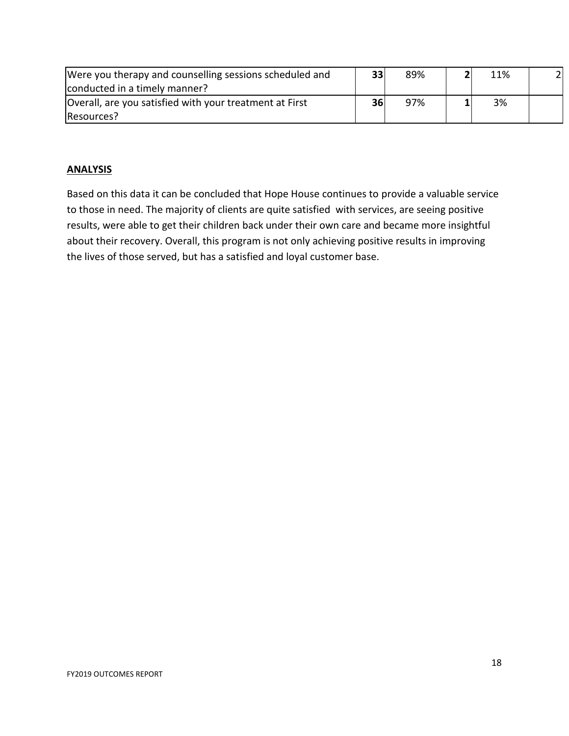| Were you therapy and counselling sessions scheduled and | 33 | 89% | 11% | 2 <sup>1</sup> |
|---------------------------------------------------------|----|-----|-----|----------------|
| conducted in a timely manner?                           |    |     |     |                |
| Overall, are you satisfied with your treatment at First | 36 | 97% | 3%  |                |
| Resources?                                              |    |     |     |                |

#### **ANALYSIS**

Based on this data it can be concluded that Hope House continues to provide a valuable service to those in need. The majority of clients are quite satisfied with services, are seeing positive results, were able to get their children back under their own care and became more insightful about their recovery. Overall, this program is not only achieving positive results in improving the lives of those served, but has a satisfied and loyal customer base.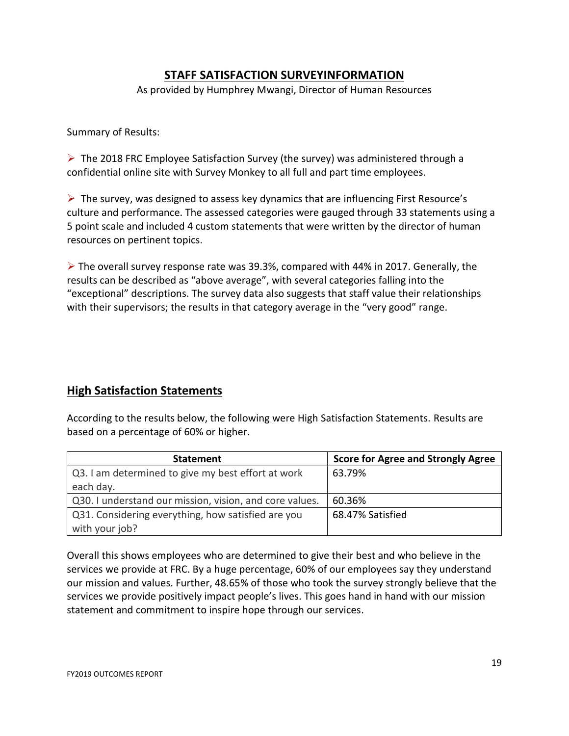## **STAFF SATISFACTION SURVEYINFORMATION**

As provided by Humphrey Mwangi, Director of Human Resources

Summary of Results:

 $\triangleright$  The 2018 FRC Employee Satisfaction Survey (the survey) was administered through a confidential online site with Survey Monkey to all full and part time employees.

 $\triangleright$  The survey, was designed to assess key dynamics that are influencing First Resource's culture and performance. The assessed categories were gauged through 33 statements using a 5 point scale and included 4 custom statements that were written by the director of human resources on pertinent topics.

 $\triangleright$  The overall survey response rate was 39.3%, compared with 44% in 2017. Generally, the results can be described as "above average", with several categories falling into the "exceptional" descriptions. The survey data also suggests that staff value their relationships with their supervisors; the results in that category average in the "very good" range.

#### **High Satisfaction Statements**

According to the results below, the following were High Satisfaction Statements. Results are based on a percentage of 60% or higher.

| <b>Statement</b>                                        | <b>Score for Agree and Strongly Agree</b> |
|---------------------------------------------------------|-------------------------------------------|
| Q3. I am determined to give my best effort at work      | 63.79%                                    |
| each day.                                               |                                           |
| Q30. I understand our mission, vision, and core values. | 60.36%                                    |
| Q31. Considering everything, how satisfied are you      | 68.47% Satisfied                          |
| with your job?                                          |                                           |

Overall this shows employees who are determined to give their best and who believe in the services we provide at FRC. By a huge percentage, 60% of our employees say they understand our mission and values. Further, 48.65% of those who took the survey strongly believe that the services we provide positively impact people's lives. This goes hand in hand with our mission statement and commitment to inspire hope through our services.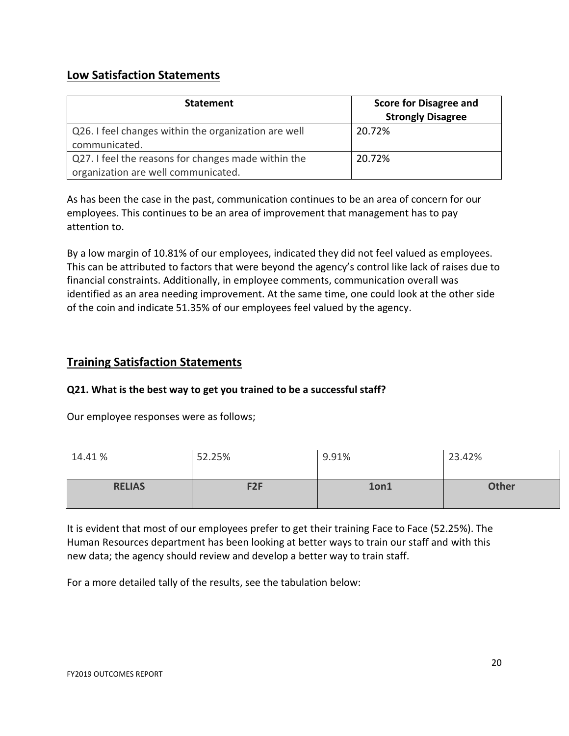## **Low Satisfaction Statements**

| <b>Statement</b>                                                                           | <b>Score for Disagree and</b><br><b>Strongly Disagree</b> |
|--------------------------------------------------------------------------------------------|-----------------------------------------------------------|
| Q26. I feel changes within the organization are well<br>communicated.                      | 20.72%                                                    |
| Q27. I feel the reasons for changes made within the<br>organization are well communicated. | 20.72%                                                    |

As has been the case in the past, communication continues to be an area of concern for our employees. This continues to be an area of improvement that management has to pay attention to.

By a low margin of 10.81% of our employees, indicated they did not feel valued as employees. This can be attributed to factors that were beyond the agency's control like lack of raises due to financial constraints. Additionally, in employee comments, communication overall was identified as an area needing improvement. At the same time, one could look at the other side of the coin and indicate 51.35% of our employees feel valued by the agency.

## **Training Satisfaction Statements**

#### **Q21. What is the best way to get you trained to be a successful staff?**

Our employee responses were as follows;

| 14.41%        | 52.25%          | 9.91% | 23.42%       |
|---------------|-----------------|-------|--------------|
| <b>RELIAS</b> | F <sub>2F</sub> | 1on1  | <b>Other</b> |

It is evident that most of our employees prefer to get their training Face to Face (52.25%). The Human Resources department has been looking at better ways to train our staff and with this new data; the agency should review and develop a better way to train staff.

For a more detailed tally of the results, see the tabulation below: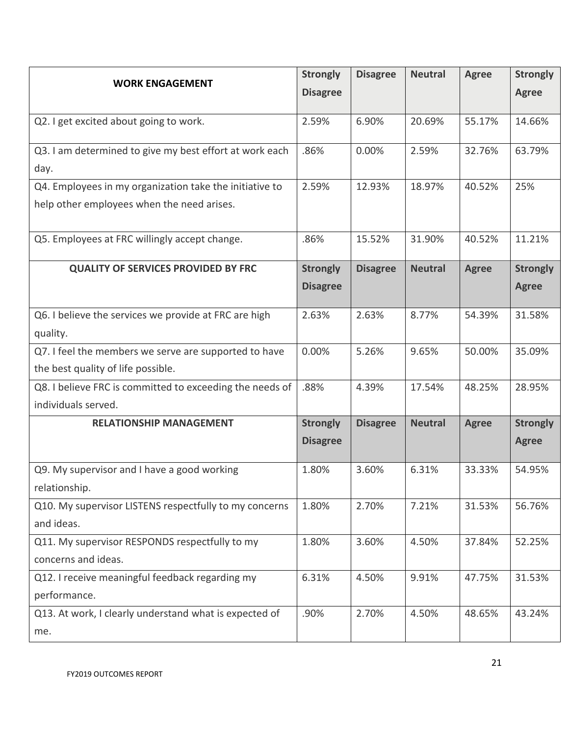| <b>WORK ENGAGEMENT</b>                                   | <b>Strongly</b> | <b>Disagree</b> | <b>Neutral</b> | <b>Agree</b> | <b>Strongly</b> |
|----------------------------------------------------------|-----------------|-----------------|----------------|--------------|-----------------|
|                                                          | <b>Disagree</b> |                 |                |              | <b>Agree</b>    |
| Q2. I get excited about going to work.                   | 2.59%           | 6.90%           | 20.69%         | 55.17%       | 14.66%          |
|                                                          |                 |                 |                |              |                 |
| Q3. I am determined to give my best effort at work each  | .86%            | 0.00%           | 2.59%          | 32.76%       | 63.79%          |
| day.                                                     |                 |                 |                |              |                 |
| Q4. Employees in my organization take the initiative to  | 2.59%           | 12.93%          | 18.97%         | 40.52%       | 25%             |
| help other employees when the need arises.               |                 |                 |                |              |                 |
|                                                          |                 |                 |                |              |                 |
| Q5. Employees at FRC willingly accept change.            | .86%            | 15.52%          | 31.90%         | 40.52%       | 11.21%          |
| <b>QUALITY OF SERVICES PROVIDED BY FRC</b>               | <b>Strongly</b> | <b>Disagree</b> | <b>Neutral</b> | <b>Agree</b> | <b>Strongly</b> |
|                                                          | <b>Disagree</b> |                 |                |              | <b>Agree</b>    |
|                                                          |                 |                 |                |              |                 |
| Q6. I believe the services we provide at FRC are high    | 2.63%           | 2.63%           | 8.77%          | 54.39%       | 31.58%          |
| quality.                                                 |                 |                 |                |              |                 |
| Q7. I feel the members we serve are supported to have    | 0.00%           | 5.26%           | 9.65%          | 50.00%       | 35.09%          |
| the best quality of life possible.                       |                 |                 |                |              |                 |
| Q8. I believe FRC is committed to exceeding the needs of | .88%            | 4.39%           | 17.54%         | 48.25%       | 28.95%          |
| individuals served.                                      |                 |                 |                |              |                 |
| <b>RELATIONSHIP MANAGEMENT</b>                           | <b>Strongly</b> | <b>Disagree</b> | <b>Neutral</b> | <b>Agree</b> | <b>Strongly</b> |
|                                                          | <b>Disagree</b> |                 |                |              | <b>Agree</b>    |
| Q9. My supervisor and I have a good working              | 1.80%           | 3.60%           | 6.31%          | 33.33%       | 54.95%          |
| relationship.                                            |                 |                 |                |              |                 |
| Q10. My supervisor LISTENS respectfully to my concerns   | 1.80%           | 2.70%           | 7.21%          | 31.53%       | 56.76%          |
| and ideas.                                               |                 |                 |                |              |                 |
| Q11. My supervisor RESPONDS respectfully to my           | 1.80%           | 3.60%           | 4.50%          | 37.84%       | 52.25%          |
| concerns and ideas.                                      |                 |                 |                |              |                 |
| Q12. I receive meaningful feedback regarding my          | 6.31%           | 4.50%           | 9.91%          | 47.75%       | 31.53%          |
| performance.                                             |                 |                 |                |              |                 |
| Q13. At work, I clearly understand what is expected of   | .90%            | 2.70%           | 4.50%          | 48.65%       | 43.24%          |
| me.                                                      |                 |                 |                |              |                 |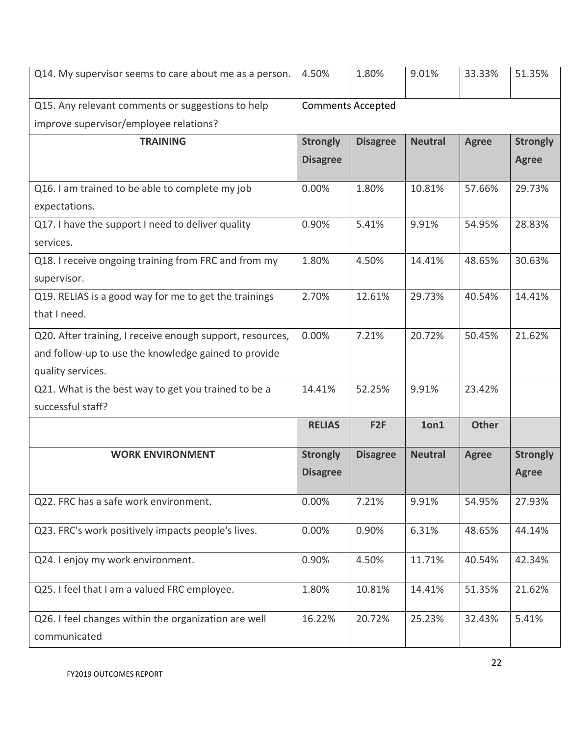| Q14. My supervisor seems to care about me as a person.    | 4.50%                    | 1.80%           | 9.01%          | 33.33%       | 51.35%          |
|-----------------------------------------------------------|--------------------------|-----------------|----------------|--------------|-----------------|
| Q15. Any relevant comments or suggestions to help         | <b>Comments Accepted</b> |                 |                |              |                 |
| improve supervisor/employee relations?                    |                          |                 |                |              |                 |
| <b>TRAINING</b>                                           | <b>Strongly</b>          | <b>Disagree</b> | <b>Neutral</b> | <b>Agree</b> | <b>Strongly</b> |
|                                                           | <b>Disagree</b>          |                 |                |              | <b>Agree</b>    |
| Q16. I am trained to be able to complete my job           | 0.00%                    | 1.80%           | 10.81%         | 57.66%       | 29.73%          |
| expectations.                                             |                          |                 |                |              |                 |
| Q17. I have the support I need to deliver quality         | 0.90%                    | 5.41%           | 9.91%          | 54.95%       | 28.83%          |
| services.                                                 |                          |                 |                |              |                 |
| Q18. I receive ongoing training from FRC and from my      | 1.80%                    | 4.50%           | 14.41%         | 48.65%       | 30.63%          |
| supervisor.                                               |                          |                 |                |              |                 |
| Q19. RELIAS is a good way for me to get the trainings     | 2.70%                    | 12.61%          | 29.73%         | 40.54%       | 14.41%          |
| that I need.                                              |                          |                 |                |              |                 |
| Q20. After training, I receive enough support, resources, | 0.00%                    | 7.21%           | 20.72%         | 50.45%       | 21.62%          |
| and follow-up to use the knowledge gained to provide      |                          |                 |                |              |                 |
| quality services.                                         |                          |                 |                |              |                 |
| Q21. What is the best way to get you trained to be a      | 14.41%                   | 52.25%          | 9.91%          | 23.42%       |                 |
| successful staff?                                         |                          |                 |                |              |                 |
|                                                           | <b>RELIAS</b>            | F <sub>2F</sub> | 1on1           | <b>Other</b> |                 |
| <b>WORK ENVIRONMENT</b>                                   | <b>Strongly</b>          | <b>Disagree</b> | <b>Neutral</b> | <b>Agree</b> | <b>Strongly</b> |
|                                                           | <b>Disagree</b>          |                 |                |              | <b>Agree</b>    |
| Q22. FRC has a safe work environment.                     | 0.00%                    | 7.21%           | 9.91%          | 54.95%       | 27.93%          |
| Q23. FRC's work positively impacts people's lives.        | 0.00%                    | 0.90%           | 6.31%          | 48.65%       | 44.14%          |
| Q24. I enjoy my work environment.                         | 0.90%                    | 4.50%           | 11.71%         | 40.54%       | 42.34%          |
| Q25. I feel that I am a valued FRC employee.              | 1.80%                    | 10.81%          | 14.41%         | 51.35%       | 21.62%          |
| Q26. I feel changes within the organization are well      | 16.22%                   | 20.72%          | 25.23%         | 32.43%       | 5.41%           |
| communicated                                              |                          |                 |                |              |                 |